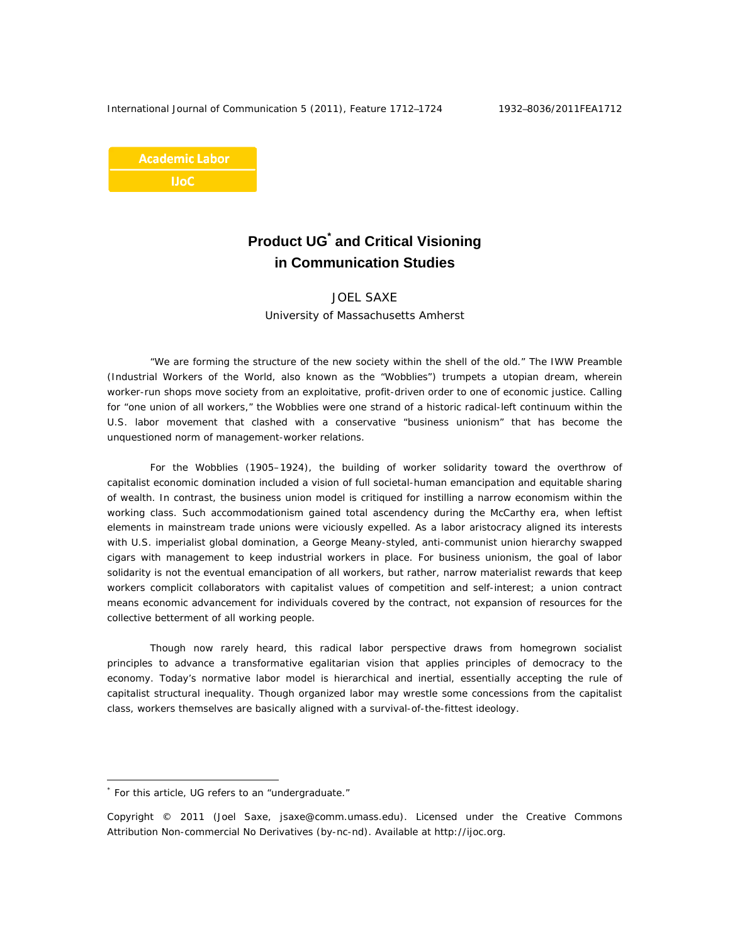**Academic Labor IJoC** 

# **Product UG\* and Critical Visioning in Communication Studies**

## JOEL SAXE

University of Massachusetts Amherst

"We are forming the structure of the new society within the shell of the old." The IWW Preamble (Industrial Workers of the World, also known as the "Wobblies") trumpets a utopian dream, wherein worker-run shops move society from an exploitative, profit-driven order to one of economic justice. Calling for "one union of all workers," the Wobblies were one strand of a historic radical-left continuum within the U.S. labor movement that clashed with a conservative "business unionism" that has become the unquestioned norm of management-worker relations.

For the Wobblies (1905–1924), the building of worker solidarity toward the overthrow of capitalist economic domination included a vision of full societal-human emancipation and equitable sharing of wealth. In contrast, the business union model is critiqued for instilling a narrow economism within the working class. Such accommodationism gained total ascendency during the McCarthy era, when leftist elements in mainstream trade unions were viciously expelled. As a labor aristocracy aligned its interests with U.S. imperialist global domination, a George Meany-styled, anti-communist union hierarchy swapped cigars with management to keep industrial workers in place. For business unionism, the goal of labor solidarity is not the eventual emancipation of all workers, but rather, narrow materialist rewards that keep workers complicit collaborators with capitalist values of competition and self-interest; a union contract means economic advancement for individuals covered by the contract, not expansion of resources for the collective betterment of all working people.

Though now rarely heard, this radical labor perspective draws from homegrown socialist principles to advance a transformative egalitarian vision that applies principles of democracy to the economy. Today's normative labor model is hierarchical and inertial, essentially accepting the rule of capitalist structural inequality. Though organized labor may wrestle some concessions from the capitalist class, workers themselves are basically aligned with a survival-of-the-fittest ideology.

 $\overline{a}$ 

<sup>\*</sup> For this article, UG refers to an "undergraduate."

Copyright © 2011 (Joel Saxe, jsaxe@comm.umass.edu). Licensed under the Creative Commons Attribution Non-commercial No Derivatives (by-nc-nd). Available at http://ijoc.org.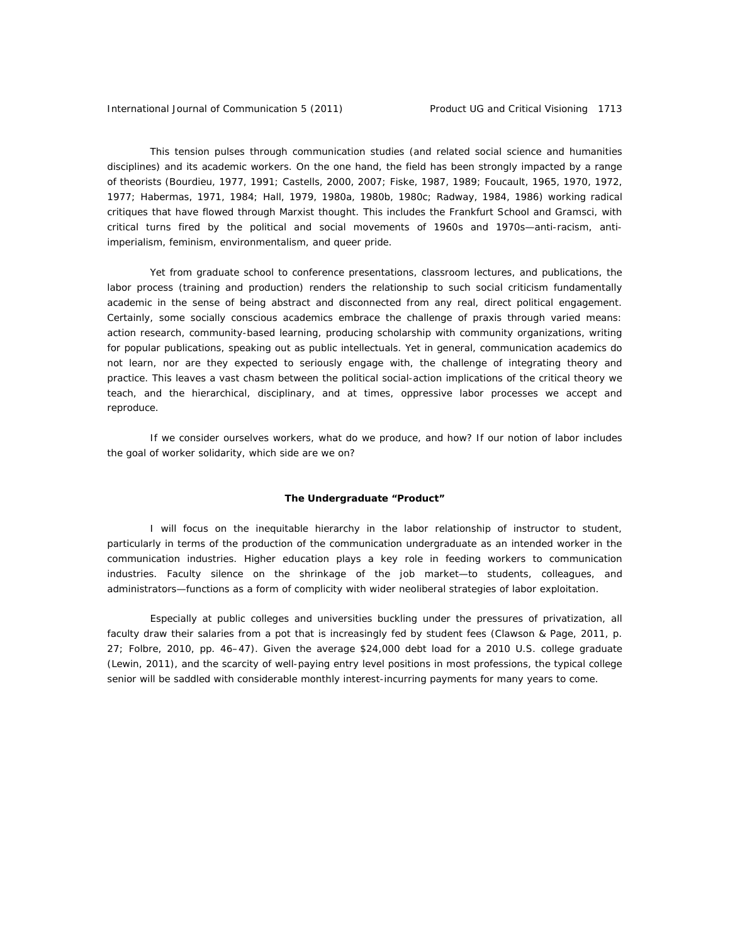This tension pulses through communication studies (and related social science and humanities disciplines) and its academic workers. On the one hand, the field has been strongly impacted by a range of theorists (Bourdieu, 1977, 1991; Castells, 2000, 2007; Fiske, 1987, 1989; Foucault, 1965, 1970, 1972, 1977; Habermas, 1971, 1984; Hall, 1979, 1980a, 1980b, 1980c; Radway, 1984, 1986) working radical critiques that have flowed through Marxist thought. This includes the Frankfurt School and Gramsci, with critical turns fired by the political and social movements of 1960s and 1970s—anti-racism, antiimperialism, feminism, environmentalism, and queer pride.

Yet from graduate school to conference presentations, classroom lectures, and publications, the labor process (training and production) renders the relationship to such social criticism fundamentally academic in the sense of being abstract and disconnected from any real, direct political engagement. Certainly, some socially conscious academics embrace the challenge of praxis through varied means: action research, community-based learning, producing scholarship with community organizations, writing for popular publications, speaking out as public intellectuals. Yet in general, communication academics do not learn, nor are they expected to seriously engage with, the challenge of integrating theory and practice. This leaves a vast chasm between the political social-action implications of the critical theory we teach, and the hierarchical, disciplinary, and at times, oppressive labor processes we accept and reproduce.

If we consider ourselves workers, what do we produce, and how? If our notion of labor includes the goal of worker solidarity, which side are we on?

#### **The Undergraduate "Product"**

I will focus on the inequitable hierarchy in the labor relationship of instructor to student, particularly in terms of the production of the communication undergraduate as an intended worker in the communication industries. Higher education plays a key role in feeding workers to communication industries. Faculty silence on the shrinkage of the job market—to students, colleagues, and administrators—functions as a form of complicity with wider neoliberal strategies of labor exploitation.

Especially at public colleges and universities buckling under the pressures of privatization, all faculty draw their salaries from a pot that is increasingly fed by student fees (Clawson & Page, 2011, p. 27; Folbre, 2010, pp. 46–47). Given the average \$24,000 debt load for a 2010 U.S. college graduate (Lewin, 2011), and the scarcity of well-paying entry level positions in most professions, the typical college senior will be saddled with considerable monthly interest-incurring payments for many years to come.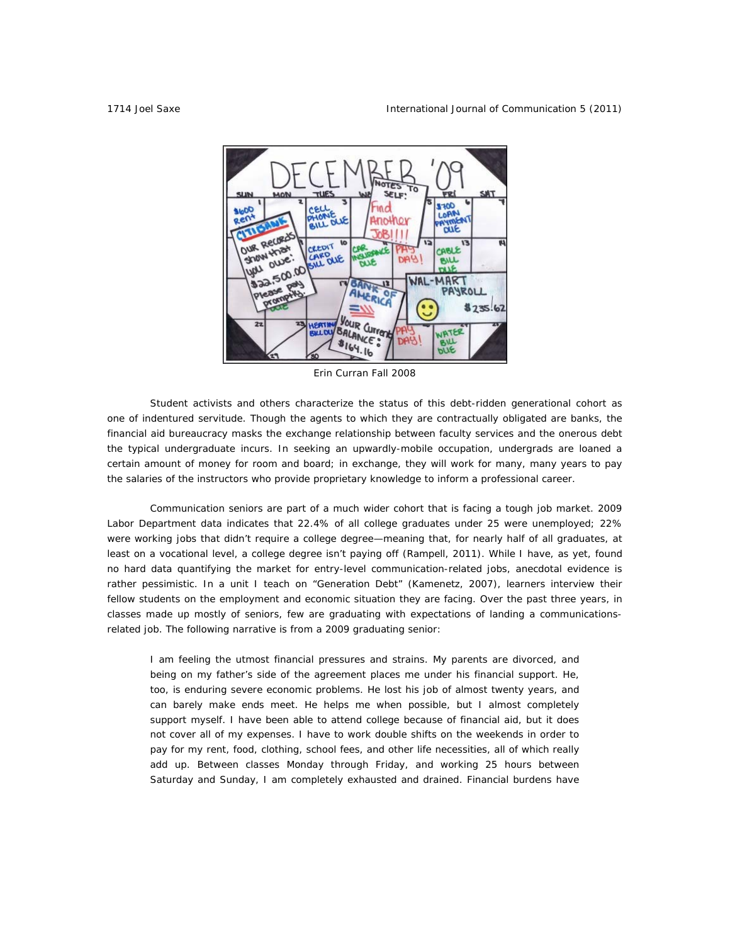

Erin Curran Fall 2008

Student activists and others characterize the status of this debt-ridden generational cohort as one of indentured servitude. Though the agents to which they are contractually obligated are banks, the financial aid bureaucracy masks the exchange relationship between faculty services and the onerous debt the typical undergraduate incurs. In seeking an upwardly-mobile occupation, undergrads are loaned a certain amount of money for room and board; in exchange, they will work for many, many years to pay the salaries of the instructors who provide proprietary knowledge to inform a professional career.

Communication seniors are part of a much wider cohort that is facing a tough job market. 2009 Labor Department data indicates that 22.4% of all college graduates under 25 were unemployed; 22% were working jobs that didn't require a college degree—meaning that, for nearly half of all graduates, at least on a vocational level, a college degree isn't paying off (Rampell, 2011). While I have, as yet, found no hard data quantifying the market for entry-level communication-related jobs, anecdotal evidence is rather pessimistic. In a unit I teach on "Generation Debt" (Kamenetz, 2007), learners interview their fellow students on the employment and economic situation they are facing. Over the past three years, in classes made up mostly of seniors, few are graduating with expectations of landing a communicationsrelated job. The following narrative is from a 2009 graduating senior:

I am feeling the utmost financial pressures and strains. My parents are divorced, and being on my father's side of the agreement places me under his financial support. He, too, is enduring severe economic problems. He lost his job of almost twenty years, and can barely make ends meet. He helps me when possible, but I almost completely support myself. I have been able to attend college because of financial aid, but it does not cover all of my expenses. I have to work double shifts on the weekends in order to pay for my rent, food, clothing, school fees, and other life necessities, all of which really add up. Between classes Monday through Friday, and working 25 hours between Saturday and Sunday, I am completely exhausted and drained. Financial burdens have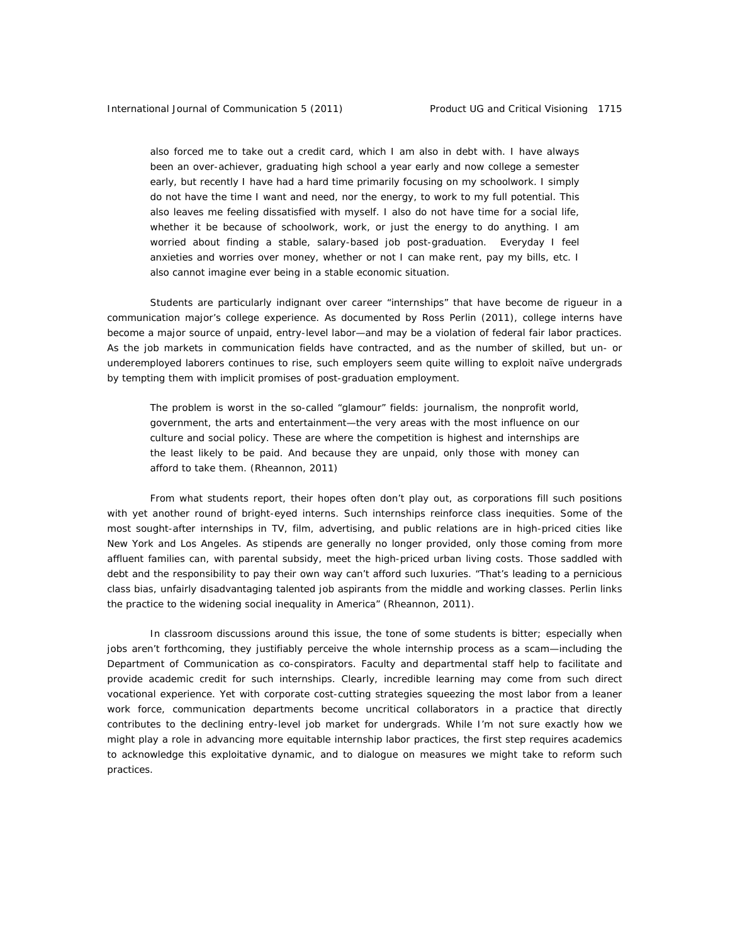also forced me to take out a credit card, which I am also in debt with. I have always been an over-achiever, graduating high school a year early and now college a semester early, but recently I have had a hard time primarily focusing on my schoolwork. I simply do not have the time I want and need, nor the energy, to work to my full potential. This also leaves me feeling dissatisfied with myself. I also do not have time for a social life, whether it be because of schoolwork, work, or just the energy to do anything. I am worried about finding a stable, salary-based job post-graduation. Everyday I feel anxieties and worries over money, whether or not I can make rent, pay my bills, etc. I also cannot imagine ever being in a stable economic situation.

Students are particularly indignant over career "internships" that have become de rigueur in a communication major's college experience. As documented by Ross Perlin (2011), college interns have become a major source of unpaid, entry-level labor—and may be a violation of federal fair labor practices. As the job markets in communication fields have contracted, and as the number of skilled, but un- or underemployed laborers continues to rise, such employers seem quite willing to exploit naïve undergrads by tempting them with implicit promises of post-graduation employment.

The problem is worst in the so-called "glamour" fields: journalism, the nonprofit world, government, the arts and entertainment—the very areas with the most influence on our culture and social policy. These are where the competition is highest and internships are the least likely to be paid. And because they are unpaid, only those with money can afford to take them. (Rheannon, 2011)

From what students report, their hopes often don't play out, as corporations fill such positions with yet another round of bright-eyed interns. Such internships reinforce class inequities. Some of the most sought-after internships in TV, film, advertising, and public relations are in high-priced cities like New York and Los Angeles. As stipends are generally no longer provided, only those coming from more affluent families can, with parental subsidy, meet the high-priced urban living costs. Those saddled with debt and the responsibility to pay their own way can't afford such luxuries. "That's leading to a pernicious class bias, unfairly disadvantaging talented job aspirants from the middle and working classes. Perlin links the practice to the widening social inequality in America" (Rheannon, 2011).

In classroom discussions around this issue, the tone of some students is bitter; especially when jobs aren't forthcoming, they justifiably perceive the whole internship process as a scam—including the Department of Communication as co-conspirators. Faculty and departmental staff help to facilitate and provide academic credit for such internships. Clearly, incredible learning may come from such direct vocational experience. Yet with corporate cost-cutting strategies squeezing the most labor from a leaner work force, communication departments become uncritical collaborators in a practice that directly contributes to the declining entry-level job market for undergrads. While I'm not sure exactly how we might play a role in advancing more equitable internship labor practices, the first step requires academics to acknowledge this exploitative dynamic, and to dialogue on measures we might take to reform such practices.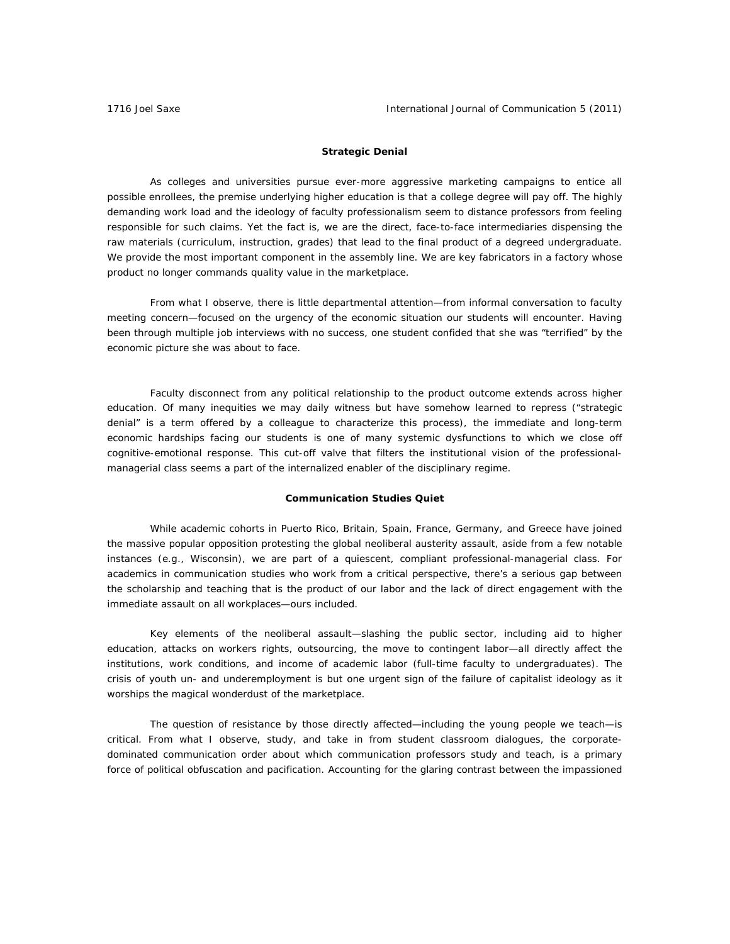#### **Strategic Denial**

As colleges and universities pursue ever-more aggressive marketing campaigns to entice all possible enrollees, the premise underlying higher education is that a college degree will pay off. The highly demanding work load and the ideology of faculty professionalism seem to distance professors from feeling responsible for such claims. Yet the fact is, we are the direct, face-to-face intermediaries dispensing the raw materials (curriculum, instruction, grades) that lead to the final product of a degreed undergraduate. We provide the most important component in the assembly line. We are key fabricators in a factory whose product no longer commands quality value in the marketplace.

From what I observe, there is little departmental attention—from informal conversation to faculty meeting concern—focused on the urgency of the economic situation our students will encounter. Having been through multiple job interviews with no success, one student confided that she was "terrified" by the economic picture she was about to face.

Faculty disconnect from any political relationship to the product outcome extends across higher education. Of many inequities we may daily witness but have somehow learned to repress ("strategic denial" is a term offered by a colleague to characterize this process), the immediate and long-term economic hardships facing our students is one of many systemic dysfunctions to which we close off cognitive-emotional response. This cut-off valve that filters the institutional vision of the professionalmanagerial class seems a part of the internalized enabler of the disciplinary regime.

#### **Communication Studies Quiet**

While academic cohorts in Puerto Rico, Britain, Spain, France, Germany, and Greece have joined the massive popular opposition protesting the global neoliberal austerity assault, aside from a few notable instances (e.g., Wisconsin), we are part of a quiescent, compliant professional-managerial class. For academics in communication studies who work from a critical perspective, there's a serious gap between the scholarship and teaching that is the product of our labor and the lack of direct engagement with the immediate assault on all workplaces—ours included.

Key elements of the neoliberal assault—slashing the public sector, including aid to higher education, attacks on workers rights, outsourcing, the move to contingent labor—all directly affect the institutions, work conditions, and income of academic labor (full-time faculty to undergraduates). The crisis of youth un- and underemployment is but one urgent sign of the failure of capitalist ideology as it worships the magical wonderdust of the marketplace.

The question of resistance by those directly affected—including the young people we teach—is critical. From what I observe, study, and take in from student classroom dialogues, the corporatedominated communication order about which communication professors study and teach, is a primary force of political obfuscation and pacification. Accounting for the glaring contrast between the impassioned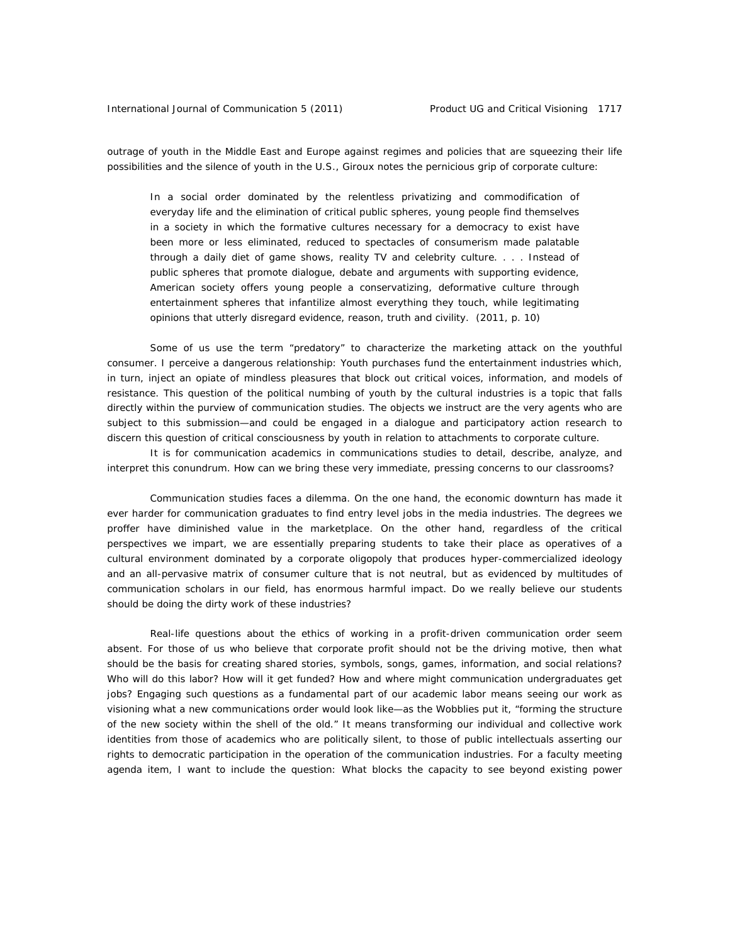outrage of youth in the Middle East and Europe against regimes and policies that are squeezing their life possibilities and the silence of youth in the U.S., Giroux notes the pernicious grip of corporate culture:

In a social order dominated by the relentless privatizing and commodification of everyday life and the elimination of critical public spheres, young people find themselves in a society in which the formative cultures necessary for a democracy to exist have been more or less eliminated, reduced to spectacles of consumerism made palatable through a daily diet of game shows, reality TV and celebrity culture. . . . Instead of public spheres that promote dialogue, debate and arguments with supporting evidence, American society offers young people a conservatizing, deformative culture through entertainment spheres that infantilize almost everything they touch, while legitimating opinions that utterly disregard evidence, reason, truth and civility. (2011, p. 10)

Some of us use the term "predatory" to characterize the marketing attack on the youthful consumer. I perceive a dangerous relationship: Youth purchases fund the entertainment industries which, in turn, inject an opiate of mindless pleasures that block out critical voices, information, and models of resistance. This question of the political numbing of youth by the cultural industries is a topic that falls directly within the purview of communication studies. The objects we instruct are the very agents who are subject to this submission—and could be engaged in a dialogue and participatory action research to discern this question of critical consciousness by youth in relation to attachments to corporate culture.

It is for communication academics in communications studies to detail, describe, analyze, and interpret this conundrum. How can we bring these very immediate, pressing concerns to our classrooms?

Communication studies faces a dilemma. On the one hand, the economic downturn has made it ever harder for communication graduates to find entry level jobs in the media industries. The degrees we proffer have diminished value in the marketplace. On the other hand, regardless of the critical perspectives we impart, we are essentially preparing students to take their place as operatives of a cultural environment dominated by a corporate oligopoly that produces hyper-commercialized ideology and an all-pervasive matrix of consumer culture that is not neutral, but as evidenced by multitudes of communication scholars in our field, has enormous harmful impact. Do we really believe our students should be doing the dirty work of these industries?

Real-life questions about the ethics of working in a profit-driven communication order seem absent. For those of us who believe that corporate profit should not be the driving motive, then what should be the basis for creating shared stories, symbols, songs, games, information, and social relations? Who will do this labor? How will it get funded? How and where might communication undergraduates get jobs? Engaging such questions as a fundamental part of our academic labor means seeing our work as visioning what a new communications order would look like—as the Wobblies put it, "forming the structure of the new society within the shell of the old." It means transforming our individual and collective work identities from those of academics who are politically silent, to those of public intellectuals asserting our rights to democratic participation in the operation of the communication industries. For a faculty meeting agenda item, I want to include the question: What blocks the capacity to see beyond existing power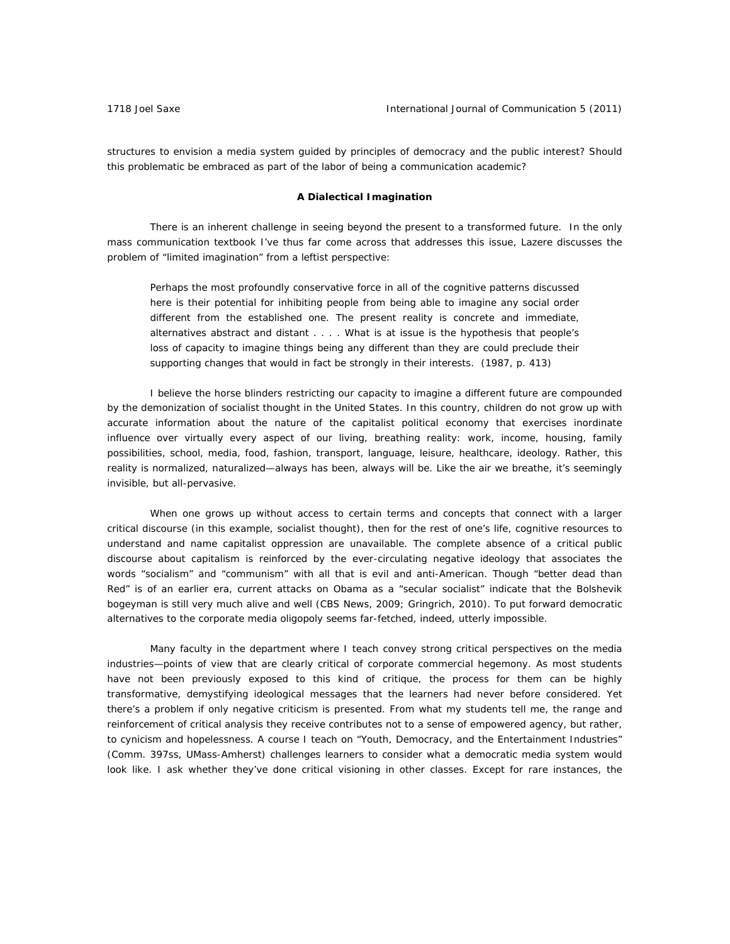structures to envision a media system guided by principles of democracy and the public interest? Should this problematic be embraced as part of the labor of being a communication academic?

### **A Dialectical Imagination**

There is an inherent challenge in seeing beyond the present to a transformed future. In the only mass communication textbook I've thus far come across that addresses this issue, Lazere discusses the problem of "limited imagination" from a leftist perspective:

Perhaps the most profoundly conservative force in all of the cognitive patterns discussed here is their potential for inhibiting people from being able to imagine any social order different from the established one. The present reality is concrete and immediate, alternatives abstract and distant . . . . What is at issue is the hypothesis that people's loss of capacity to imagine things being any different than they are could preclude their supporting changes that would in fact be strongly in their interests. (1987, p. 413)

I believe the horse blinders restricting our capacity to imagine a different future are compounded by the demonization of socialist thought in the United States. In this country, children do not grow up with accurate information about the nature of the capitalist political economy that exercises inordinate influence over virtually every aspect of our living, breathing reality: work, income, housing, family possibilities, school, media, food, fashion, transport, language, leisure, healthcare, ideology. Rather, this reality is normalized, naturalized—always has been, always will be. Like the air we breathe, it's seemingly invisible, but all-pervasive.

When one grows up without access to certain terms and concepts that connect with a larger critical discourse (in this example, socialist thought), then for the rest of one's life, cognitive resources to understand and name capitalist oppression are unavailable. The complete absence of a critical public discourse about capitalism is reinforced by the ever-circulating negative ideology that associates the words "socialism" and "communism" with all that is evil and anti-American. Though "better dead than Red" is of an earlier era, current attacks on Obama as a "secular socialist" indicate that the Bolshevik bogeyman is still very much alive and well (CBS News, 2009; Gringrich, 2010). To put forward democratic alternatives to the corporate media oligopoly seems far-fetched, indeed, utterly impossible.

Many faculty in the department where I teach convey strong critical perspectives on the media industries—points of view that are clearly critical of corporate commercial hegemony. As most students have not been previously exposed to this kind of critique, the process for them can be highly transformative, demystifying ideological messages that the learners had never before considered. Yet there's a problem if only negative criticism is presented. From what my students tell me, the range and reinforcement of critical analysis they receive contributes not to a sense of empowered agency, but rather, to cynicism and hopelessness. A course I teach on "Youth, Democracy, and the Entertainment Industries" (Comm. 397ss, UMass-Amherst) challenges learners to consider what a democratic media system would look like. I ask whether they've done critical visioning in other classes. Except for rare instances, the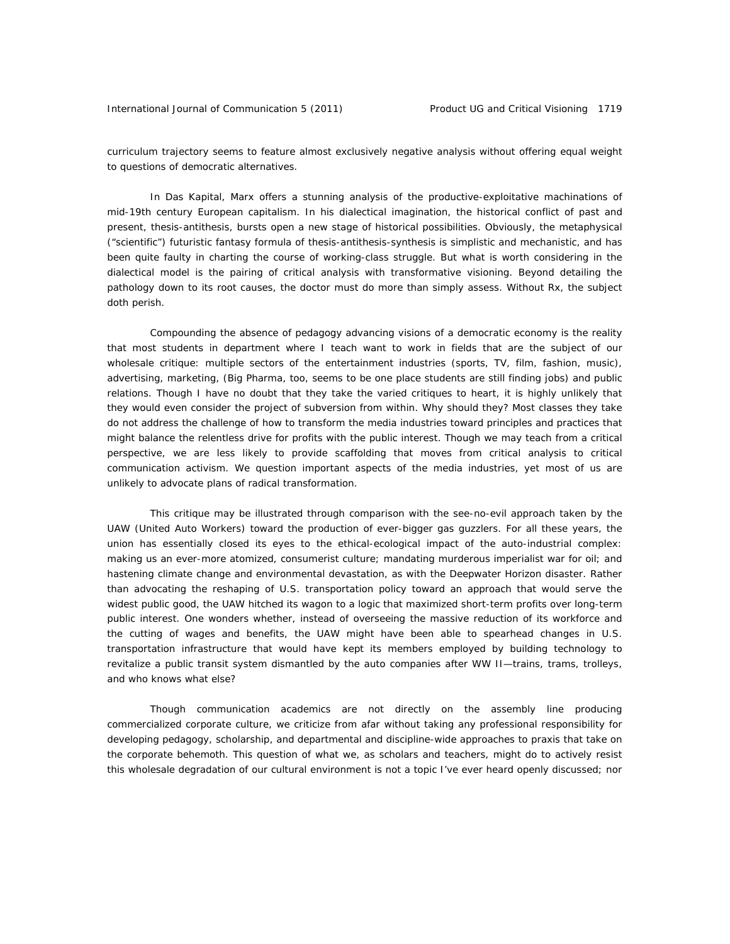curriculum trajectory seems to feature almost exclusively negative analysis without offering equal weight to questions of democratic alternatives.

In *Das Kapital*, Marx offers a stunning analysis of the productive-exploitative machinations of mid-19th century European capitalism. In his dialectical imagination, the historical conflict of past and present, thesis-antithesis, bursts open a new stage of historical possibilities. Obviously, the metaphysical ("scientific") futuristic fantasy formula of thesis-antithesis-synthesis is simplistic and mechanistic, and has been quite faulty in charting the course of working-class struggle. But what is worth considering in the dialectical model is the pairing of critical analysis with transformative visioning. Beyond detailing the pathology down to its root causes, the doctor must do more than simply assess. Without Rx, the subject doth perish.

Compounding the absence of pedagogy advancing visions of a democratic economy is the reality that most students in department where I teach want to work in fields that are the subject of our wholesale critique: multiple sectors of the entertainment industries (sports, TV, film, fashion, music), advertising, marketing, (Big Pharma, too, seems to be one place students are still finding jobs) and public relations. Though I have no doubt that they take the varied critiques to heart, it is highly unlikely that they would even consider the project of subversion from within. Why should they? Most classes they take do not address the challenge of how to transform the media industries toward principles and practices that might balance the relentless drive for profits with the public interest. Though we may teach from a critical perspective, we are less likely to provide scaffolding that moves from critical analysis to critical communication activism. We question important aspects of the media industries, yet most of us are unlikely to advocate plans of radical transformation.

This critique may be illustrated through comparison with the see-no-evil approach taken by the UAW (United Auto Workers) toward the production of ever-bigger gas guzzlers. For all these years, the union has essentially closed its eyes to the ethical-ecological impact of the auto-industrial complex: making us an ever-more atomized, consumerist culture; mandating murderous imperialist war for oil; and hastening climate change and environmental devastation, as with the Deepwater Horizon disaster. Rather than advocating the reshaping of U.S. transportation policy toward an approach that would serve the widest public good, the UAW hitched its wagon to a logic that maximized short-term profits over long-term public interest. One wonders whether, instead of overseeing the massive reduction of its workforce and the cutting of wages and benefits, the UAW might have been able to spearhead changes in U.S. transportation infrastructure that would have kept its members employed by building technology to revitalize a public transit system dismantled by the auto companies after WW II—trains, trams, trolleys, and who knows what else?

Though communication academics are not directly on the assembly line producing commercialized corporate culture, we criticize from afar without taking any professional responsibility for developing pedagogy, scholarship, and departmental and discipline-wide approaches to praxis that take on the corporate behemoth. This question of what we, as scholars and teachers, might do to actively resist this wholesale degradation of our cultural environment is not a topic I've ever heard openly discussed; nor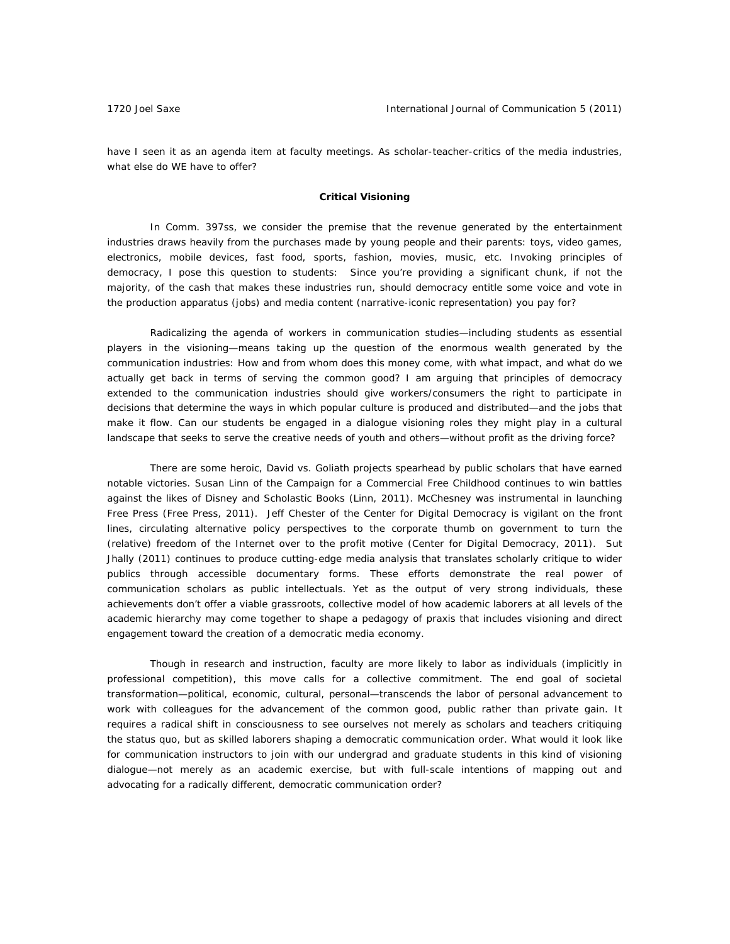have I seen it as an agenda item at faculty meetings. As scholar-teacher-critics of the media industries, what else do WE have to offer?

### **Critical Visioning**

In Comm. 397ss, we consider the premise that the revenue generated by the entertainment industries draws heavily from the purchases made by young people and their parents: toys, video games, electronics, mobile devices, fast food, sports, fashion, movies, music, etc. Invoking principles of democracy, I pose this question to students: Since you're providing a significant chunk, if not the majority, of the cash that makes these industries run, should democracy entitle some voice and vote in the production apparatus (jobs) and media content (narrative-iconic representation) you pay for?

Radicalizing the agenda of workers in communication studies—including students as essential players in the visioning—means taking up the question of the enormous wealth generated by the communication industries: How and from whom does this money come, with what impact, and what do we actually get back in terms of serving the common good? I am arguing that principles of democracy extended to the communication industries should give workers/consumers the right to participate in decisions that determine the ways in which popular culture is produced and distributed—and the jobs that make it flow. Can our students be engaged in a dialogue visioning roles they might play in a cultural landscape that seeks to serve the creative needs of youth and others—without profit as the driving force?

There are some heroic, David vs. Goliath projects spearhead by public scholars that have earned notable victories. Susan Linn of the Campaign for a Commercial Free Childhood continues to win battles against the likes of Disney and Scholastic Books (Linn, 2011). McChesney was instrumental in launching Free Press (Free Press, 2011). Jeff Chester of the Center for Digital Democracy is vigilant on the front lines, circulating alternative policy perspectives to the corporate thumb on government to turn the (relative) freedom of the Internet over to the profit motive (Center for Digital Democracy, 2011). Sut Jhally (2011) continues to produce cutting-edge media analysis that translates scholarly critique to wider publics through accessible documentary forms. These efforts demonstrate the real power of communication scholars as public intellectuals. Yet as the output of very strong individuals, these achievements don't offer a viable grassroots, collective model of how academic laborers at all levels of the academic hierarchy may come together to shape a pedagogy of praxis that includes visioning and direct engagement toward the creation of a democratic media economy.

Though in research and instruction, faculty are more likely to labor as individuals (implicitly in professional competition), this move calls for a collective commitment. The end goal of societal transformation—political, economic, cultural, personal—transcends the labor of personal advancement to work with colleagues for the advancement of the common good, public rather than private gain. It requires a radical shift in consciousness to see ourselves not merely as scholars and teachers critiquing the status quo, but as skilled laborers shaping a democratic communication order. What would it look like for communication instructors to join with our undergrad and graduate students in this kind of visioning dialogue—not merely as an academic exercise, but with full-scale intentions of mapping out and advocating for a radically different, democratic communication order?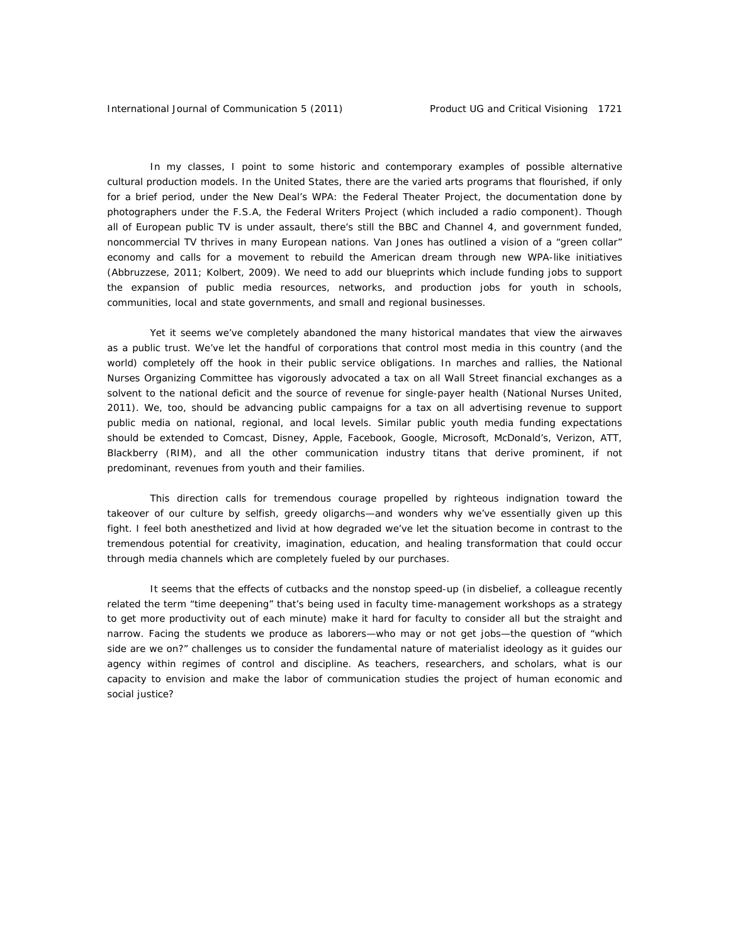In my classes, I point to some historic and contemporary examples of possible alternative cultural production models. In the United States, there are the varied arts programs that flourished, if only for a brief period, under the New Deal's WPA: the Federal Theater Project, the documentation done by photographers under the F.S.A, the Federal Writers Project (which included a radio component). Though all of European public TV is under assault, there's still the BBC and Channel 4, and government funded, noncommercial TV thrives in many European nations. Van Jones has outlined a vision of a "green collar" economy and calls for a movement to rebuild the American dream through new WPA-like initiatives (Abbruzzese, 2011; Kolbert, 2009). We need to add our blueprints which include funding jobs to support the expansion of public media resources, networks, and production jobs for youth in schools, communities, local and state governments, and small and regional businesses.

Yet it seems we've completely abandoned the many historical mandates that view the airwaves as a public trust. We've let the handful of corporations that control most media in this country (and the world) completely off the hook in their public service obligations. In marches and rallies, the National Nurses Organizing Committee has vigorously advocated a tax on all Wall Street financial exchanges as a solvent to the national deficit and the source of revenue for single-payer health (National Nurses United, 2011). We, too, should be advancing public campaigns for a tax on all advertising revenue to support public media on national, regional, and local levels. Similar public youth media funding expectations should be extended to Comcast, Disney, Apple, Facebook, Google, Microsoft, McDonald's, Verizon, ATT, Blackberry (RIM), and all the other communication industry titans that derive prominent, if not predominant, revenues from youth and their families.

This direction calls for tremendous courage propelled by righteous indignation toward the takeover of our culture by selfish, greedy oligarchs—and wonders why we've essentially given up this fight. I feel both anesthetized and livid at how degraded we've let the situation become in contrast to the tremendous potential for creativity, imagination, education, and healing transformation that could occur through media channels which are completely fueled by our purchases.

It seems that the effects of cutbacks and the nonstop speed-up (in disbelief, a colleague recently related the term "time deepening" that's being used in faculty time-management workshops as a strategy to get more productivity out of each minute) make it hard for faculty to consider all but the straight and narrow. Facing the students we produce as laborers—who may or not get jobs—the question of "which side are we on?" challenges us to consider the fundamental nature of materialist ideology as it guides our agency within regimes of control and discipline. As teachers, researchers, and scholars, what is our capacity to envision and make the labor of communication studies the project of human economic and social justice?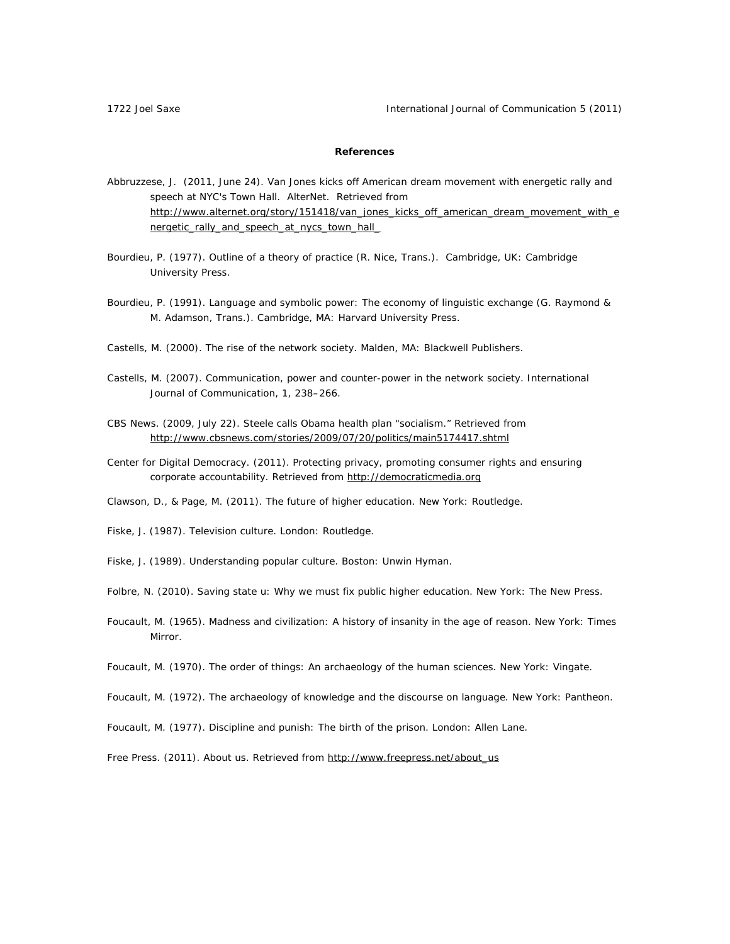#### **References**

- Abbruzzese, J. (2011, June 24). Van Jones kicks off American dream movement with energetic rally and speech at NYC's Town Hall. *AlterNet*. Retrieved from http://www.alternet.org/story/151418/van\_jones\_kicks\_off\_american\_dream\_movement\_with\_e nergetic\_rally\_and\_speech\_at\_nycs\_town\_hall\_
- Bourdieu, P. (1977). *Outline of a theory of practice* (R. Nice, Trans.). Cambridge, UK: Cambridge University Press.
- Bourdieu, P. (1991). *Language and symbolic power: The economy of linguistic exchange* (G. Raymond & M. Adamson, Trans.). Cambridge, MA: Harvard University Press.
- Castells, M. (2000). *The rise of the network society*. Malden, MA: Blackwell Publishers.
- Castells, M. (2007). Communication, power and counter-power in the network society. *International Journal of Communication*, *1*, 238–266.
- CBS News. (2009, July 22). Steele calls Obama health plan "socialism." Retrieved from http://www.cbsnews.com/stories/2009/07/20/politics/main5174417.shtml
- Center for Digital Democracy. (2011). Protecting privacy, promoting consumer rights and ensuring corporate accountability. Retrieved from http://democraticmedia.org

Clawson, D., & Page, M. (2011). *The future of higher education.* New York: Routledge.

- Fiske, J. (1987). *Television culture*. London: Routledge.
- Fiske, J. (1989). *Understanding popular culture*. Boston: Unwin Hyman.
- Folbre, N. (2010). *Saving state u: Why we must fix public higher education.* New York: The New Press.
- Foucault, M. (1965). *Madness and civilization: A history of insanity in the age of reason*. New York: Times Mirror.
- Foucault, M. (1970). *The order of things: An archaeology of the human sciences.* New York: Vingate.
- Foucault, M. (1972). *The archaeology of knowledge and the discourse on language.* New York: Pantheon.
- Foucault, M. (1977). *Discipline and punish: The birth of the prison*. London: Allen Lane.

Free Press. (2011). About us. Retrieved from http://www.freepress.net/about\_us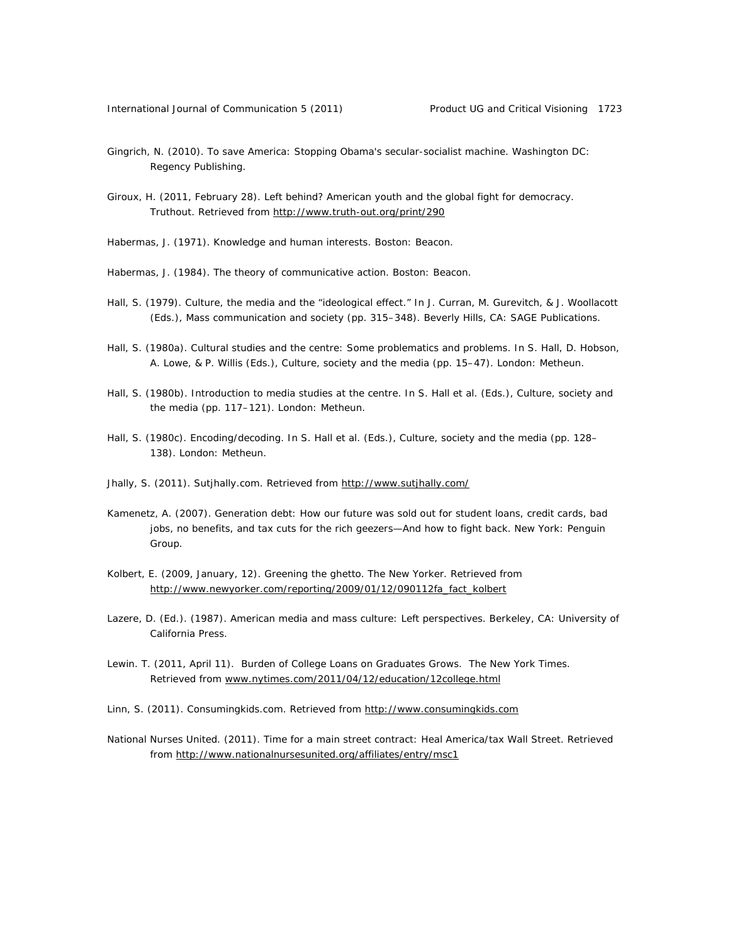- Gingrich, N. (2010). *To save America: Stopping Obama's secular-socialist machine.* Washington DC: Regency Publishing.
- Giroux, H. (2011, February 28). Left behind? American youth and the global fight for democracy. *Truthout.* Retrieved from http://www.truth-out.org/print/290
- Habermas, J. (1971). *Knowledge and human interests*. Boston: Beacon.
- Habermas, J. (1984). *The theory of communicative action*. Boston: Beacon.
- Hall, S. (1979). Culture, the media and the "ideological effect." In J. Curran, M. Gurevitch, & J. Woollacott (Eds.), *Mass communication and society* (pp. 315–348). Beverly Hills, CA: SAGE Publications.
- Hall, S. (1980a). Cultural studies and the centre: Some problematics and problems. In S. Hall, D. Hobson, A. Lowe, & P. Willis (Eds.), *Culture, society and the media* (pp. 15–47). London: Metheun.
- Hall, S. (1980b). Introduction to media studies at the centre. In S. Hall et al. (Eds.), *Culture, society and the media* (pp. 117–121). London: Metheun.
- Hall, S. (1980c). Encoding/decoding. In S. Hall et al. (Eds.), *Culture, society and the media* (pp. 128– 138). London: Metheun.
- Jhally, S. (2011). *Sutjhally.com.* Retrieved from http://www.sutjhally.com/
- Kamenetz, A. (2007). *Generation debt: How our future was sold out for student loans, credit cards, bad jobs, no benefits, and tax cuts for the rich geezers—And how to fight back.* New York: Penguin Group.
- Kolbert, E. (2009, January, 12). Greening the ghetto. *The New Yorker*. Retrieved from http://www.newyorker.com/reporting/2009/01/12/090112fa\_fact\_kolbert
- Lazere, D. (Ed.). (1987). *American media and mass culture: Left perspectives.* Berkeley, CA: University of California Press.
- Lewin. T. (2011, April 11). Burden of College Loans on Graduates Grows. *The New York Times.* Retrieved from www.nytimes.com/2011/04/12/education/12college.html
- Linn, S. (2011*). Consumingkids.com.* Retrieved from http://www.consumingkids.com
- National Nurses United. (2011). *Time for a main street contract: Heal America/tax Wall Street.* Retrieved from http://www.nationalnursesunited.org/affiliates/entry/msc1